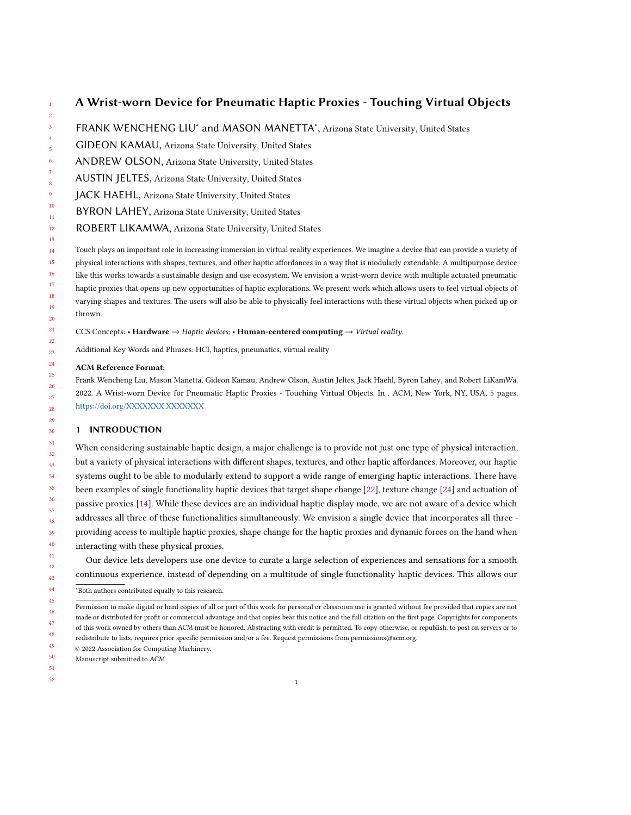### 10 11 12 13 14 15 16 17 18 19 20 A Wrist-worn Device for Pneumatic Haptic Proxies - Touching Virtual Objects FRANK WENCHENG LIU<sup>\*</sup> and MASON MANETTA<sup>\*</sup>, Arizona State University, United States GIDEON KAMAU, Arizona State University, United States ANDREW OLSON, Arizona State University, United States AUSTIN JELTES, Arizona State University, United States JACK HAEHL, Arizona State University, United States BYRON LAHEY, Arizona State University, United States ROBERT LIKAMWA, Arizona State University, United States Touch plays an important role in increasing immersion in virtual reality experiences. We imagine a device that can provide a variety of physical interactions with shapes, textures, and other haptic affordances in a way that is modularly extendable. A multipurpose device like this works towards a sustainable design and use ecosystem. We envision a wrist-worn device with multiple actuated pneumatic haptic proxies that opens up new opportunities of haptic explorations. We present work which allows users to feel virtual objects of varying shapes and textures. The users will also be able to physically feel interactions with these virtual objects when picked up or thrown.

- CCS Concepts: Hardware  $\rightarrow$  Haptic devices; Human-centered computing  $\rightarrow$  Virtual reality.
- Additional Key Words and Phrases: HCI, haptics, pneumatics, virtual reality

### ACM Reference Format:

Frank Wencheng Liu, Mason Manetta, Gideon Kamau, Andrew Olson, Austin Jeltes, Jack Haehl, Byron Lahey, and Robert LiKamWa. 2022. A Wrist-worn Device for Pneumatic Haptic Proxies - Touching Virtual Objects. In . ACM, New York, NY, USA, [5](#page-4-0) pages. <https://doi.org/XXXXXXX.XXXXXXX>

# 1 INTRODUCTION

When considering sustainable haptic design, a major challenge is to provide not just one type of physical interaction, but a variety of physical interactions with different shapes, textures, and other haptic affordances. Moreover, our haptic systems ought to be able to modularly extend to support a wide range of emerging haptic interactions. There have been examples of single functionality haptic devices that target shape change [\[22\]](#page-4-1), texture change [\[24\]](#page-4-2) and actuation of passive proxies [\[14\]](#page-4-3). While these devices are an individual haptic display mode, we are not aware of a device which addresses all three of these functionalities simultaneously. We envision a single device that incorporates all three providing access to multiple haptic proxies, shape change for the haptic proxies and dynamic forces on the hand when interacting with these physical proxies.

Our device lets developers use one device to curate a large selection of experiences and sensations for a smooth continuous experience, instead of depending on a multitude of single functionality haptic devices. This allows our

44 45 <sup>∗</sup>Both authors contributed equally to this research.

- 49 © 2022 Association for Computing Machinery.
- 50 Manuscript submitted to ACM
- 51
- 52

<sup>46</sup> 47 48 Permission to make digital or hard copies of all or part of this work for personal or classroom use is granted without fee provided that copies are not made or distributed for profit or commercial advantage and that copies bear this notice and the full citation on the first page. Copyrights for components of this work owned by others than ACM must be honored. Abstracting with credit is permitted. To copy otherwise, or republish, to post on servers or to redistribute to lists, requires prior specific permission and/or a fee. Request permissions from permissions@acm.org.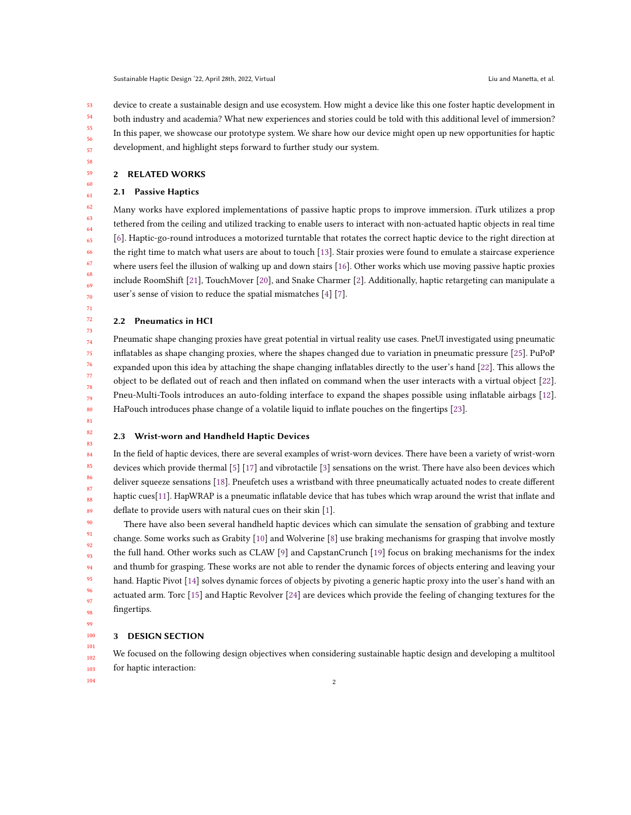53 54 55 56 57 device to create a sustainable design and use ecosystem. How might a device like this one foster haptic development in both industry and academia? What new experiences and stories could be told with this additional level of immersion? In this paper, we showcase our prototype system. We share how our device might open up new opportunities for haptic development, and highlight steps forward to further study our system.

58 59

# 2 RELATED WORKS

## 2.1 Passive Haptics

Many works have explored implementations of passive haptic props to improve immersion. iTurk utilizes a prop tethered from the ceiling and utilized tracking to enable users to interact with non-actuated haptic objects in real time [\[6\]](#page-4-4). Haptic-go-round introduces a motorized turntable that rotates the correct haptic device to the right direction at the right time to match what users are about to touch [\[13\]](#page-4-5). Stair proxies were found to emulate a staircase experience where users feel the illusion of walking up and down stairs [\[16\]](#page-4-6). Other works which use moving passive haptic proxies include RoomShift [\[21\]](#page-4-7), TouchMover [\[20\]](#page-4-8), and Snake Charmer [\[2\]](#page-3-0). Additionally, haptic retargeting can manipulate a user's sense of vision to reduce the spatial mismatches [\[4\]](#page-3-1) [\[7\]](#page-4-9).

## 2.2 Pneumatics in HCI

74 76 80 Pneumatic shape changing proxies have great potential in virtual reality use cases. PneUI investigated using pneumatic inflatables as shape changing proxies, where the shapes changed due to variation in pneumatic pressure [\[25\]](#page-4-10). PuPoP expanded upon this idea by attaching the shape changing inflatables directly to the user's hand [\[22\]](#page-4-1). This allows the object to be deflated out of reach and then inflated on command when the user interacts with a virtual object [\[22\]](#page-4-1). Pneu-Multi-Tools introduces an auto-folding interface to expand the shapes possible using inflatable airbags [\[12\]](#page-4-11). HaPouch introduces phase change of a volatile liquid to inflate pouches on the fingertips [\[23\]](#page-4-12).

81 82 83

75

77 78 79

## 2.3 Wrist-worn and Handheld Haptic Devices

In the field of haptic devices, there are several examples of wrist-worn devices. There have been a variety of wrist-worn devices which provide thermal [\[5\]](#page-3-2) [\[17\]](#page-4-13) and vibrotactile [\[3\]](#page-3-3) sensations on the wrist. There have also been devices which deliver squeeze sensations [\[18\]](#page-4-14). Pneufetch uses a wristband with three pneumatically actuated nodes to create different haptic cues[\[11\]](#page-4-15). HapWRAP is a pneumatic inflatable device that has tubes which wrap around the wrist that inflate and deflate to provide users with natural cues on their skin [\[1\]](#page-3-4).

91 93 94 95 There have also been several handheld haptic devices which can simulate the sensation of grabbing and texture change. Some works such as Grabity [\[10\]](#page-4-16) and Wolverine [\[8\]](#page-4-17) use braking mechanisms for grasping that involve mostly the full hand. Other works such as CLAW [\[9\]](#page-4-18) and CapstanCrunch [\[19\]](#page-4-19) focus on braking mechanisms for the index and thumb for grasping. These works are not able to render the dynamic forces of objects entering and leaving your hand. Haptic Pivot [\[14\]](#page-4-3) solves dynamic forces of objects by pivoting a generic haptic proxy into the user's hand with an actuated arm. Torc [\[15\]](#page-4-20) and Haptic Revolver [\[24\]](#page-4-2) are devices which provide the feeling of changing textures for the fingertips.

98 99

101

96 97

92

#### 100 3 DESIGN SECTION

102 103 We focused on the following design objectives when considering sustainable haptic design and developing a multitool for haptic interaction: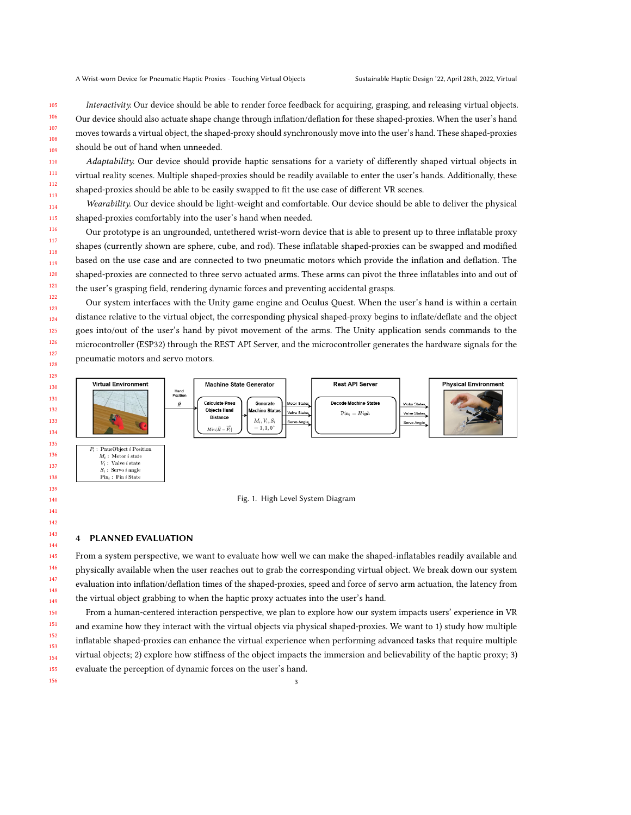Interactivity. Our device should be able to render force feedback for acquiring, grasping, and releasing virtual objects. Our device should also actuate shape change through inflation/deflation for these shaped-proxies. When the user's hand moves towards a virtual object, the shaped-proxy should synchronously move into the user's hand. These shaped-proxies should be out of hand when unneeded.

Adaptability. Our device should provide haptic sensations for a variety of differently shaped virtual objects in virtual reality scenes. Multiple shaped-proxies should be readily available to enter the user's hands. Additionally, these shaped-proxies should be able to be easily swapped to fit the use case of different VR scenes.

Wearability. Our device should be light-weight and comfortable. Our device should be able to deliver the physical shaped-proxies comfortably into the user's hand when needed.

Our prototype is an ungrounded, untethered wrist-worn device that is able to present up to three inflatable proxy shapes (currently shown are sphere, cube, and rod). These inflatable shaped-proxies can be swapped and modified based on the use case and are connected to two pneumatic motors which provide the inflation and deflation. The shaped-proxies are connected to three servo actuated arms. These arms can pivot the three inflatables into and out of the user's grasping field, rendering dynamic forces and preventing accidental grasps.

Our system interfaces with the Unity game engine and Oculus Quest. When the user's hand is within a certain distance relative to the virtual object, the corresponding physical shaped-proxy begins to inflate/deflate and the object goes into/out of the user's hand by pivot movement of the arms. The Unity application sends commands to the microcontroller (ESP32) through the REST API Server, and the microcontroller generates the hardware signals for the pneumatic motors and servo motors.



Fig. 1. High Level System Diagram

## 4 PLANNED EVALUATION

From a system perspective, we want to evaluate how well we can make the shaped-inflatables readily available and physically available when the user reaches out to grab the corresponding virtual object. We break down our system evaluation into inflation/deflation times of the shaped-proxies, speed and force of servo arm actuation, the latency from the virtual object grabbing to when the haptic proxy actuates into the user's hand.

From a human-centered interaction perspective, we plan to explore how our system impacts users' experience in VR and examine how they interact with the virtual objects via physical shaped-proxies. We want to 1) study how multiple inflatable shaped-proxies can enhance the virtual experience when performing advanced tasks that require multiple virtual objects; 2) explore how stiffness of the object impacts the immersion and believability of the haptic proxy; 3) evaluate the perception of dynamic forces on the user's hand.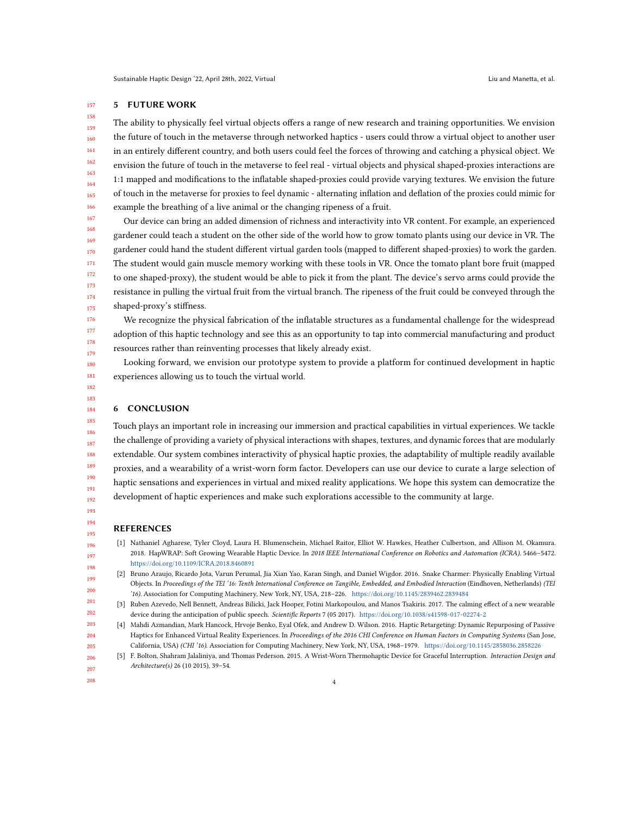#### 157 5 FUTURE WORK

158

159 160 161 162 163 164 165 166 The ability to physically feel virtual objects offers a range of new research and training opportunities. We envision the future of touch in the metaverse through networked haptics - users could throw a virtual object to another user in an entirely different country, and both users could feel the forces of throwing and catching a physical object. We envision the future of touch in the metaverse to feel real - virtual objects and physical shaped-proxies interactions are 1:1 mapped and modifications to the inflatable shaped-proxies could provide varying textures. We envision the future of touch in the metaverse for proxies to feel dynamic - alternating inflation and deflation of the proxies could mimic for example the breathing of a live animal or the changing ripeness of a fruit.

167 168 169 170 171 172 173 174 175 Our device can bring an added dimension of richness and interactivity into VR content. For example, an experienced gardener could teach a student on the other side of the world how to grow tomato plants using our device in VR. The gardener could hand the student different virtual garden tools (mapped to different shaped-proxies) to work the garden. The student would gain muscle memory working with these tools in VR. Once the tomato plant bore fruit (mapped to one shaped-proxy), the student would be able to pick it from the plant. The device's servo arms could provide the resistance in pulling the virtual fruit from the virtual branch. The ripeness of the fruit could be conveyed through the shaped-proxy's stiffness.

We recognize the physical fabrication of the inflatable structures as a fundamental challenge for the widespread adoption of this haptic technology and see this as an opportunity to tap into commercial manufacturing and product resources rather than reinventing processes that likely already exist.

Looking forward, we envision our prototype system to provide a platform for continued development in haptic experiences allowing us to touch the virtual world.

## 6 CONCLUSION

185 186 187 188 189 190 191 192 Touch plays an important role in increasing our immersion and practical capabilities in virtual experiences. We tackle the challenge of providing a variety of physical interactions with shapes, textures, and dynamic forces that are modularly extendable. Our system combines interactivity of physical haptic proxies, the adaptability of multiple readily available proxies, and a wearability of a wrist-worn form factor. Developers can use our device to curate a large selection of haptic sensations and experiences in virtual and mixed reality applications. We hope this system can democratize the development of haptic experiences and make such explorations accessible to the community at large.

### REFERENCES

- <span id="page-3-4"></span>[1] Nathaniel Agharese, Tyler Cloyd, Laura H. Blumenschein, Michael Raitor, Elliot W. Hawkes, Heather Culbertson, and Allison M. Okamura. 2018. HapWRAP: Soft Growing Wearable Haptic Device. In 2018 IEEE International Conference on Robotics and Automation (ICRA). 5466–5472. <https://doi.org/10.1109/ICRA.2018.8460891>
- <span id="page-3-0"></span>[2] Bruno Araujo, Ricardo Jota, Varun Perumal, Jia Xian Yao, Karan Singh, and Daniel Wigdor. 2016. Snake Charmer: Physically Enabling Virtual Objects. In Proceedings of the TEI '16: Tenth International Conference on Tangible, Embedded, and Embodied Interaction (Eindhoven, Netherlands) (TEI '16). Association for Computing Machinery, New York, NY, USA, 218–226. <https://doi.org/10.1145/2839462.2839484>
- <span id="page-3-3"></span>[3] Ruben Azevedo, Nell Bennett, Andreas Bilicki, Jack Hooper, Fotini Markopoulou, and Manos Tsakiris. 2017. The calming effect of a new wearable device during the anticipation of public speech. Scientific Reports 7 (05 2017). <https://doi.org/10.1038/s41598-017-02274-2>
- <span id="page-3-2"></span><span id="page-3-1"></span>[4] Mahdi Azmandian, Mark Hancock, Hrvoje Benko, Eyal Ofek, and Andrew D. Wilson. 2016. Haptic Retargeting: Dynamic Repurposing of Passive Haptics for Enhanced Virtual Reality Experiences. In Proceedings of the 2016 CHI Conference on Human Factors in Computing Systems (San Jose, California, USA) (CHI '16). Association for Computing Machinery, New York, NY, USA, 1968–1979. <https://doi.org/10.1145/2858036.2858226>
	- [5] F. Bolton, Shahram Jalaliniya, and Thomas Pederson. 2015. A Wrist-Worn Thermohaptic Device for Graceful Interruption. Interaction Design and Architecture(s) 26 (10 2015), 39–54.
- 207 208